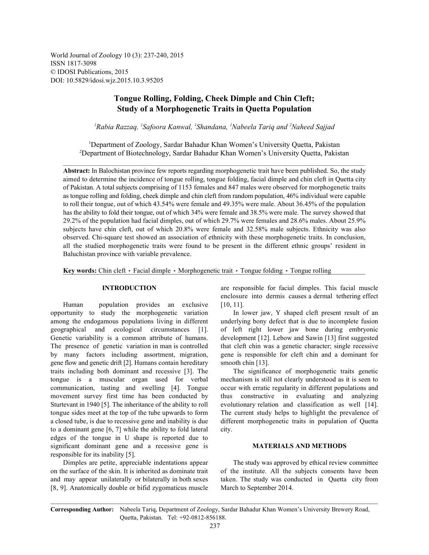World Journal of Zoology 10 (3): 237-240, 2015 ISSN 1817-3098 © IDOSI Publications, 2015 DOI: 10.5829/idosi.wjz.2015.10.3.95205

# **Tongue Rolling, Folding, Cheek Dimple and Chin Cleft; Study of a Morphogenetic Traits in Quetta Population**

<sup>1</sup>Rabia Razzaq, <sup>1</sup>Safoora Kanwal, <sup>1</sup>Shandana, <sup>1</sup>Nabeela Tariq and <sup>2</sup>Naheed Sajjad

<sup>1</sup>Department of Zoology, Sardar Bahadur Khan Women's University Quetta, Pakistan Department of Biotechnology, Sardar Bahadur Khan Women's University Quetta, Pakistan <sup>2</sup>

**Abstract:** In Balochistan province few reports regarding morphogenetic trait have been published. So, the study aimed to determine the incidence of tongue rolling, tongue folding, facial dimple and chin cleft in Quetta city of Pakistan. A total subjects comprising of 1153 females and 847 males were observed for morphogenetic traits as tongue rolling and folding, cheek dimple and chin cleft from random population, 46% individual were capable to roll their tongue, out of which 43.54% were female and 49.35% were male. About 36.45% of the population has the ability to fold their tongue, out of which 34% were female and 38.5% were male. The survey showed that 29.2% of the population had facial dimples, out of which 29.7% were females and 28.6% males. About 25.9% subjects have chin cleft, out of which 20.8% were female and 32.58% male subjects. Ethnicity was also observed. Chi-square test showed an association of ethnicity with these morphogenetic traits. In conclusion, all the studied morphogenetic traits were found to be present in the different ethnic groups' resident in Baluchistan province with variable prevalence.

**Key words:** Chin cleft  $\cdot$  Facial dimple  $\cdot$  Morphogenetic trait  $\cdot$  Tongue folding  $\cdot$  Tongue rolling

Human population provides an exclusive [10, 11]. opportunity to study the morphogenetic variation In lower jaw, Y shaped cleft present result of an among the endogamous populations living in different underlying bony defect that is due to incomplete fusion geographical and ecological circumstances [1]. of left right lower jaw bone during embryonic Genetic variability is a common attribute of humans. development [12]. Lebow and Sawin [13] first suggested The presence of genetic variation in man is controlled that cleft chin was a genetic character; single recessive by many factors including assortment, migration, gene is responsible for cleft chin and a dominant for gene flow and genetic drift [2]. Humans contain hereditary smooth chin [13]. traits including both dominant and recessive [3]. The The significance of morphogenetic traits genetic tongue is a muscular organ used for verbal mechanism is still not clearly understood as it is seen to communication, tasting and swelling [4]. Tongue occur with erratic regularity in different populations and movement survey first time has been conducted by thus constructive in evaluating and analyzing Sturtevant in 1940 [5]. The inheritance of the ability to roll evolutionary relation and classification as well [14]. tongue sides meet at the top of the tube upwards to form The current study helps to highlight the prevalence of a closed tube, is due to recessive gene and inability is due different morphogenetic traits in population of Quetta to a dominant gene  $[6, 7]$  while the ability to fold lateral city. edges of the tongue in U shape is reported due to significant dominant gene and a recessive gene is **MATERIALS AND METHODS** responsible for its inability [5].

Dimples are petite, appreciable indentations appear The study was approved by ethical review committee on the surface of the skin. It is inherited as dominate trait of the institute. All the subjects consents have been and may appear unilaterally or bilaterally in both sexes taken. The study was conducted in Quetta city from [8, 9]. Anatomically double or bifid zygomaticus muscle March to September 2014.

**INTRODUCTION** are responsible for facial dimples. This facial muscle enclosure into dermis causes a dermal tethering effect

**Corresponding Author:** Nabeela Tariq, Department of Zoology, Sardar Bahadur Khan Women's University Brewery Road, Quetta, Pakistan. Tel: +92-0812-856188.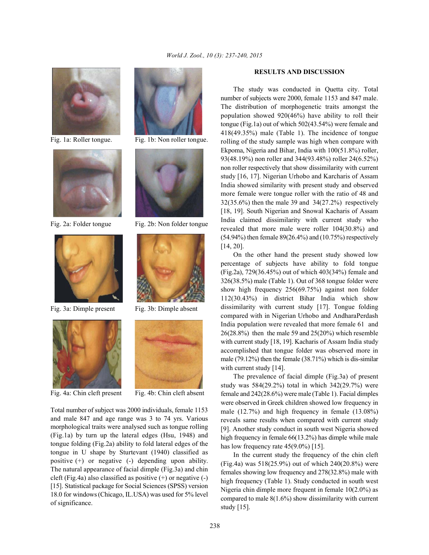





Fig. 3a: Dimple present Fig. 3b: Dimple absent



Fig. 4a: Chin cleft present Fig. 4b: Chin cleft absent



Fig. 1a: Roller tongue. Fig. 1b: Non roller tongue.



Fig. 2a: Folder tongue Fig. 2b: Non folder tongue





Total number of subject was 2000 individuals, female 1153 and male 847 and age range was 3 to 74 yrs. Various morphological traits were analysed such as tongue rolling (Fig.1a) by turn up the lateral edges (Hsu, 1948) and tongue folding (Fig.2a) ability to fold lateral edges of the tongue in U shape by Sturtevant (1940) classified as positive (+) or negative (-) depending upon ability. The natural appearance of facial dimple (Fig.3a) and chin cleft (Fig.4a) also classified as positive  $(+)$  or negative  $(-)$ [15]. Statistical package for Social Sciences (SPSS) version 18.0 for windows (Chicago, IL.USA) was used for 5% level of significance.

### **RESULTS AND DISCUSSION**

The study was conducted in Quetta city. Total number of subjects were 2000, female 1153 and 847 male. The distribution of morphogenetic traits amongst the population showed 920(46%) have ability to roll their tongue (Fig.1a) out of which 502(43.54%) were female and 418(49.35%) male (Table 1). The incidence of tongue rolling of the study sample was high when compare with Ekpoma, Nigeria and Bihar, India with 100(51.8%) roller, 93(48.19%) non roller and 344(93.48%) roller 24(6.52%) non roller respectively that show dissimilarity with current study [16, 17]. Nigerian Urhobo and Karcharis of Assam India showed similarity with present study and observed more female were tongue roller with the ratio of 48 and 32(35.6%) then the male 39 and 34(27.2%) respectively [18, 19]. South Nigerian and Snowal Kacharis of Assam India claimed dissimilarity with current study who revealed that more male were roller 104(30.8%) and (54.94%) then female 89(26.4%) and (10.75%) respectively [14, 20].

On the other hand the present study showed low percentage of subjects have ability to fold tongue (Fig.2a), 729(36.45%) out of which 403(34%) female and 326(38.5%) male (Table 1). Out of 368 tongue folder were show high frequency 256(69.75%) against non folder 112(30.43%) in district Bihar India which show dissimilarity with current study [17]. Tongue folding compared with in Nigerian Urhobo and AndharaPerdash India population were revealed that more female 61 and 26(28.8%) then the male 59 and 25(20%) which resemble with current study [18, 19]. Kacharis of Assam India study accomplished that tongue folder was observed more in male (79.12%) then the female (38.71%) which is dis-similar with current study [14].

The prevalence of facial dimple (Fig.3a) of present study was 584(29.2%) total in which 342(29.7%) were female and 242(28.6%) were male (Table 1). Facial dimples were observed in Greek children showed low frequency in male (12.7%) and high frequency in female (13.08%) reveals same results when compared with current study [9]. Another study conduct in south west Nigeria showed high frequency in female 66(13.2%) has dimple while male has low frequency rate  $45(9.0\%)$  [15].

In the current study the frequency of the chin cleft (Fig.4a) was 518(25.9%) out of which 240(20.8%) were females showing low frequency and 278(32.8%) male with high frequency (Table 1). Study conducted in south west Nigeria chin dimple more frequent in female 10(2.0%) as compared to male 8(1.6%) show dissimilarity with current study [15].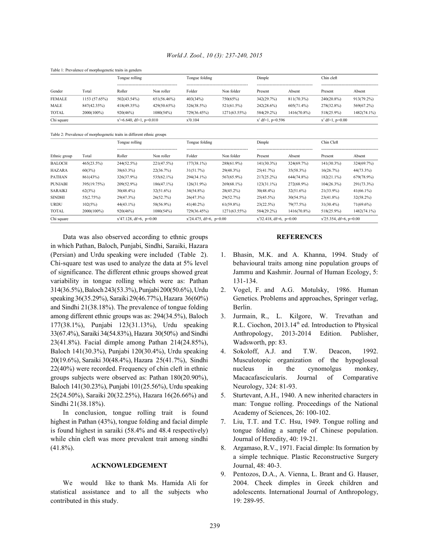| Table 1: Prevalence of morphogenetic traits in genders |               |                             |             |                |              |                     |               |                    |             |        |
|--------------------------------------------------------|---------------|-----------------------------|-------------|----------------|--------------|---------------------|---------------|--------------------|-------------|--------|
|                                                        |               | Tongue rolling              |             | Tongue folding |              | Dimple              |               | Chin cleft         |             |        |
|                                                        |               |                             |             |                |              |                     |               |                    |             | Gender |
| <b>FEMALE</b>                                          | 1153 (57.65%) | 502(43.54%)                 | 651(56.46%) | 403(34%)       | 750(65%)     | 342(29.7%)          | 811(70.3%)    | 240(20.8%)         | 913(79.2%)  |        |
| MALE                                                   | 847(42.35%)   | 418(49.35%)                 | 429(50.65%) | 326(38.5%)     | 521(61.5%)   | 242(28.6%)          | $605(71.4\%)$ | 278(32.8%)         | 569(67.2%)  |        |
| <b>TOTAL</b>                                           | 2000(100%)    | 920(46%)                    | 1080(54%)   | 729(36.45%)    | 1271(63.55%) | 584(29.2%)          | 1416(70.8%)   | 518(25.9%)         | 1482(74.1%) |        |
| Chi square                                             |               | $x^2=6.640$ , df=1, p=0.010 |             | $x^20.104$     |              | $x^2$ df=1, p=0.596 |               | $x^2$ df=1, p=0.00 |             |        |

## *World J. Zool., 10 (3): 237-240, 2015*

Table 2: Prevalence of morphogenetic traits in different ethnic groups

| Ethnic group   | Total       | Tongue rolling             |               | Tongue folding             |                                                     | Dimple                     |              | Chin Cleft                 |              |
|----------------|-------------|----------------------------|---------------|----------------------------|-----------------------------------------------------|----------------------------|--------------|----------------------------|--------------|
|                |             | Roller                     | Non roller    | Folder                     | -------------------------------------<br>Non folder | Present                    | <br>Absent   | Present                    | Absent       |
| <b>BALOCH</b>  | 465(23.5%)  | 244(52.5%)                 | 221(47.5%)    | $177(38.1\%)$              | 288(61.9%)                                          | $141(30.3\%)$              | 324(69.7%)   | 141(30.3%)                 | 324(69.7%)   |
| <b>HAZARA</b>  | 60(3%)      | $38(63.3\%)$               | 22(36.7%)     | 31(51.7%)                  | 29(48.3%)                                           | 25(41.7%)                  | 35(58.3%)    | 16(26.7%)                  | 44(73.3%)    |
| <b>PATHAN</b>  | 861(43%)    | 326(37.9%)                 | $535(62.1\%)$ | 294(34.1%)                 | 567(65.9%)                                          | $217(25.2\%)$              | 644(74.8%)   | 182(21.1%)                 | 679(78.9%)   |
| <b>PUNJABI</b> | 395(19.75%) | 209(52.9%)                 | $186(47.1\%)$ | 126(31.9%)                 | $269(68.1\%)$                                       | $123(31.1\%)$              | 272(68.9%)   | $104(26.3\%)$              | 291(73.3%)   |
| <b>SARAIKI</b> | 62(3%)      | $30(48.4\%)$               | $32(51.6\%)$  | 34(54.8%)                  | $28(45.2\%)$                                        | $30(48.4\%)$               | $32(51.6\%)$ | $21(33.9\%)$               | $41(66.1\%)$ |
| <b>SINDHI</b>  | 55(2.75%)   | 29(47.3%)                  | 26(52.7%)     | 26(47.3%)                  | 29(52.7%)                                           | 25(45.5%)                  | 30(54.5%)    | $23(41.8\%)$               | $32(58.2\%)$ |
| <b>URDU</b>    | 102(5%)     | $44(43.1\%)$               | 58(56.9%)     | $41(40.2\%)$               | $61(59.8\%)$                                        | 23(22.5%)                  | 79(77.5%)    | $31(30.4\%)$               | $71(69.6\%)$ |
| <b>TOTAL</b>   | 2000(100%)  | 920(46%)                   | 1080(54%)     | 729(36.45%)                | 1271(63.55%)                                        | 584(29.2%)                 | 1416(70.8%)  | 518(25.9%)                 | 1482(74.1%)  |
| Chi square     |             | $x^2$ 47.128, df=6, p=0.00 |               | $x^2$ 24.475, df=6, p=0.00 |                                                     | $x^2$ 32.418, df=6, p=0.00 |              | $x^2$ 25.354, df=6, p=0.00 |              |

Data was also observed according to ethnic groups **REFERENCES** in which Pathan, Baloch, Punjabi, Sindhi, Saraiki, Hazara (Persian) and Urdu speaking were included (Table 2). 1. Bhasin, M.K. and A. Khanna, 1994. Study of Chi-square test was used to analyze the data at 5% level behavioural traits among nine population groups of of significance. The different ethnic groups showed great Jammu and Kashmir. Journal of Human Ecology, 5: variability in tongue rolling which were as: Pathan 131-134. 314(36.5%),Baloch 243(53.3%), Punjabi 200(50.6%), Urdu 2. Vogel, F. and A.G. Motulsky, 1986. Human speaking 36(35.29%), Saraiki 29(46.77%), Hazara 36(60%) Genetics. Problems and approaches, Springer verlag, and Sindhi  $21(38.18%)$ . The prevalence of tongue folding Berlin. among different ethnic groups was as: 294(34.5%), Baloch 3. Jurmain, R., L. Kilgore, W. Trevathan and 177(38.1%), Punjabi 123(31.13%), Urdu speaking 33(67.4%), Saraiki 34(54.83%), Hazara 30(50%) and Sindhi Anthropology, 2013-2014 Edition. Publisher, 23(41.8%). Facial dimple among Pathan 214(24.85%), Wadsworth, pp: 83. Baloch 141(30.3%), Punjabi 120(30.4%), Urdu speaking 4. Sokoloff, A.J. and T.W. Deacon, 1992. 20(19.6%), Saraiki 30(48.4%), Hazara 25(41.7%), Sindhi Musculotopic organization of the hypoglossal 22(40%) were recorded. Frequency of chin cleft in ethnic nucleus in the cynomolgus monkey, groups subjects were observed as: Pathan 180(20.90%), Macacafascicularis. Journal of Comparative Baloch 141(30.23%), Punjabi 101(25.56%), Urdu speaking Neurology, 324: 81-93. 25(24.50%), Saraiki 20(32.25%), Hazara 16(26.66%) and 5. Sturtevant, A.H., 1940. A new inherited characters in Sindhi 21(38.18%). man: Tongue rolling. Proceedings of the National

In conclusion, tongue rolling trait is found Academy of Sciences, 26: 100-102. highest in Pathan (43%), tongue folding and facial dimple 7. Liu, T.T. and T.C. Hsu, 1949. Tongue rolling and while chin cleft was more prevalent trait among sindhi Journal of Heredity, 40: 19-21. (41.8%). 8. Argamaso, R.V., 1971. Facial dimple: Its formation by

# **ACKNOWLEDGEMENT** Journal, 48: 40-3.

contributed in this study. 19: 289-95.

- 
- 
- R.L. Ciochon, 2013.14<sup>th</sup> ed. Introduction to Physical
- 
- 
- is found highest in saraiki (58.4% and 48.4 respectively) tongue folding a sample of Chinese population.
	- a simple technique. Plastic Reconstructive Surgery
- We would like to thank Ms. Hamida Ali for 2004. Cheek dimples in Greek children and statistical assistance and to all the subjects who adolescents. International Journal of Anthropology, 9. Pentozos, D.A., A. Vienna, L. Brant and G. Hauser,